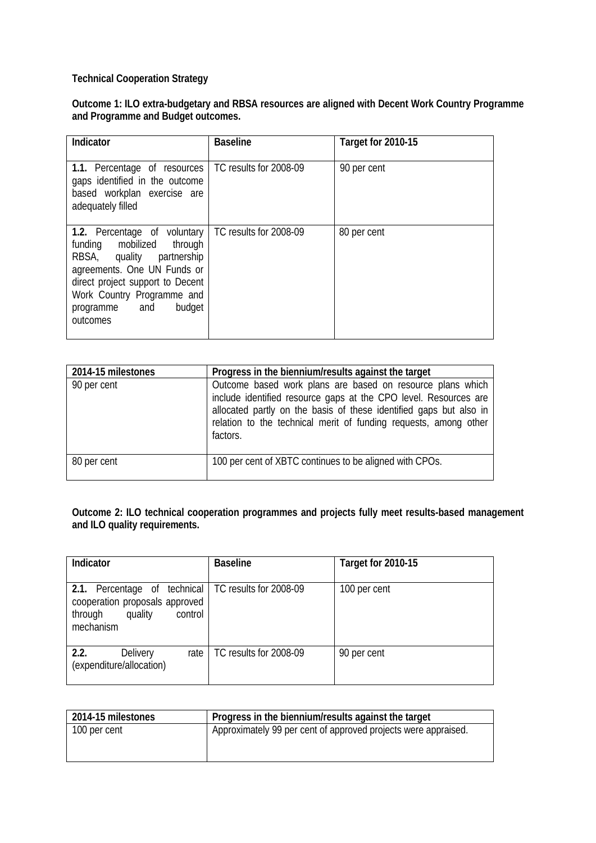## **Technical Cooperation Strategy**

**Outcome 1: ILO extra-budgetary and RBSA resources are aligned with Decent Work Country Programme and Programme and Budget outcomes.**

| Indicator                                                                                                                                                                                                                      | <b>Baseline</b>        | Target for 2010-15 |
|--------------------------------------------------------------------------------------------------------------------------------------------------------------------------------------------------------------------------------|------------------------|--------------------|
| 1.1. Percentage of resources<br>gaps identified in the outcome<br>based workplan exercise are<br>adequately filled                                                                                                             | TC results for 2008-09 | 90 per cent        |
| 1.2. Percentage of voluntary<br>funding mobilized through<br>RBSA, quality partnership<br>agreements. One UN Funds or<br>direct project support to Decent<br>Work Country Programme and<br>budget<br>programme and<br>outcomes | TC results for 2008-09 | 80 per cent        |

| 2014-15 milestones | Progress in the biennium/results against the target                                                                                                                                                                                                                                  |
|--------------------|--------------------------------------------------------------------------------------------------------------------------------------------------------------------------------------------------------------------------------------------------------------------------------------|
| 90 per cent        | Outcome based work plans are based on resource plans which<br>include identified resource gaps at the CPO level. Resources are<br>allocated partly on the basis of these identified gaps but also in<br>relation to the technical merit of funding requests, among other<br>factors. |
| 80 per cent        | 100 per cent of XBTC continues to be aligned with CPOs.                                                                                                                                                                                                                              |

## **Outcome 2: ILO technical cooperation programmes and projects fully meet results-based management and ILO quality requirements.**

| Indicator                                                                                                                                | <b>Baseline</b>        | Target for 2010-15 |
|------------------------------------------------------------------------------------------------------------------------------------------|------------------------|--------------------|
| 2.1.<br>Percentage of technical   TC results for 2008-09<br>cooperation proposals approved<br>quality<br>control<br>through<br>mechanism |                        | 100 per cent       |
| 2.2.<br><b>Delivery</b><br>rate<br>(expenditure/allocation)                                                                              | TC results for 2008-09 | 90 per cent        |

| 2014-15 milestones | Progress in the biennium/results against the target            |
|--------------------|----------------------------------------------------------------|
| 100 per cent       | Approximately 99 per cent of approved projects were appraised. |